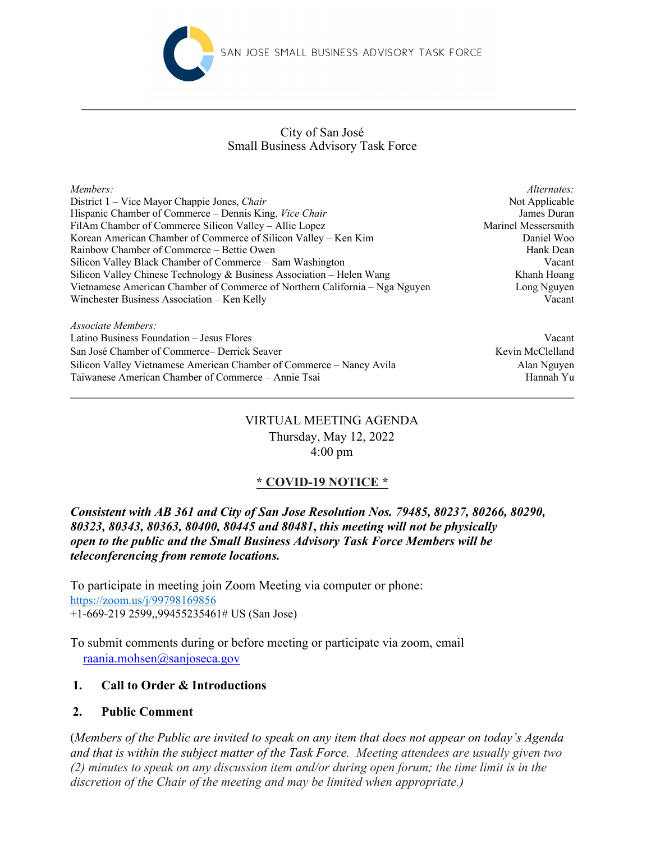

## Small Business Advisory Task Force City of San José

| Members:                                                                    | Alternates:         |
|-----------------------------------------------------------------------------|---------------------|
| District 1 – Vice Mayor Chappie Jones, Chair                                | Not Applicable      |
| Hispanic Chamber of Commerce – Dennis King, Vice Chair                      | James Duran         |
| FilAm Chamber of Commerce Silicon Valley – Allie Lopez                      | Marinel Messersmith |
| Korean American Chamber of Commerce of Silicon Valley – Ken Kim             | Daniel Woo          |
| Rainbow Chamber of Commerce – Bettie Owen                                   | Hank Dean           |
| Silicon Valley Black Chamber of Commerce – Sam Washington                   | Vacant              |
| Silicon Valley Chinese Technology & Business Association - Helen Wang       | Khanh Hoang         |
| Vietnamese American Chamber of Commerce of Northern California – Nga Nguyen | Long Nguyen         |
| Winchester Business Association – Ken Kelly                                 | Vacant              |
| Associate Members:                                                          |                     |

Latino Business Foundation – Jesus Flores Vacant San José Chamber of Commerce– Derrick Seaver Kevin McClelland Kevin McClelland Silicon Valley Vietnamese American Chamber of Commerce – Nancy Avila Alan Nguyen Taiwanese American Chamber of Commerce – Annie Tsai Hannah Yu

# VIRTUAL MEETING AGENDA Thursday, May 12, 2022 4:00 pm

# **\* COVID-19 NOTICE \***

*Consistent with AB 361 and City of San Jose Resolution Nos. 79485, 80237, 80266, 80290, 80323, 80343, 80363, 80400, 80445 and 80481***,** *this meeting will not be physically open to the public and the Small Business Advisory Task Force Members will be teleconferencing from remote locations.*

To participate in meeting join Zoom Meeting via computer or phone: https://zoom.us/j/99798169856 +1-669-219 2599,,99455235461# US (San Jose)

To submit comments during or before meeting or participate via zoom, email raania.mohsen@sanjoseca.gov

# **1. Call to Order & Introductions**

## **2. Public Comment**

(*Members of the Public are invited to speak on any item that does not appear on today's Agenda and that is within the subject matter of the Task Force. Meeting attendees are usually given two (2) minutes to speak on any discussion item and/or during open forum; the time limit is in the discretion of the Chair of the meeting and may be limited when appropriate.)*